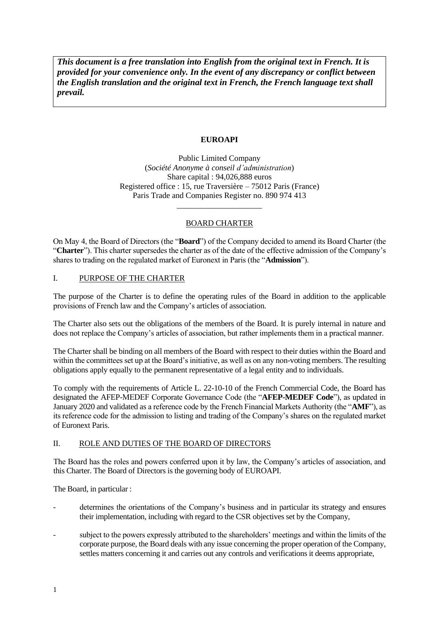*This document is a free translation into English from the original text in French. It is provided for your convenience only. In the event of any discrepancy or conflict between the English translation and the original text in French, the French language text shall prevail.* 

# **EUROAPI**

Public Limited Company (*Société Anonyme à conseil d'administration*) Share capital : 94,026,888 euros Registered office : 15, rue Traversière – 75012 Paris (France) Paris Trade and Companies Register no. 890 974 413

# BOARD CHARTER

\_\_\_\_\_\_\_\_\_\_\_\_\_\_\_\_\_\_\_\_\_

On May 4, the Board of Directors (the "**Board**") of the Company decided to amend its Board Charter (the "**Charter**"). This charter supersedes the charter as of the date of the effective admission of the Company's shares to trading on the regulated market of Euronext in Paris (the "**Admission**").

# I. PURPOSE OF THE CHARTER

The purpose of the Charter is to define the operating rules of the Board in addition to the applicable provisions of French law and the Company's articles of association.

The Charter also sets out the obligations of the members of the Board. It is purely internal in nature and does not replace the Company's articles of association, but rather implements them in a practical manner.

The Charter shall be binding on all members of the Board with respect to their duties within the Board and within the committees set up at the Board's initiative, as well as on any non-voting members. The resulting obligations apply equally to the permanent representative of a legal entity and to individuals.

To comply with the requirements of Article L. 22-10-10 of the French Commercial Code, the Board has designated the AFEP-MEDEF Corporate Governance Code (the "**AFEP-MEDEF Code**"), as updated in January 2020 and validated as a reference code by the French Financial Markets Authority (the "**AMF**"), as its reference code for the admission to listing and trading of the Company's shares on the regulated market of Euronext Paris.

# II. ROLE AND DUTIES OF THE BOARD OF DIRECTORS

The Board has the roles and powers conferred upon it by law, the Company's articles of association, and this Charter. The Board of Directors is the governing body of EUROAPI.

The Board, in particular :

- determines the orientations of the Company's business and in particular its strategy and ensures their implementation, including with regard to the CSR objectives set by the Company,
- subject to the powers expressly attributed to the shareholders' meetings and within the limits of the corporate purpose, the Board deals with any issue concerning the proper operation of the Company, settles matters concerning it and carries out any controls and verifications it deems appropriate,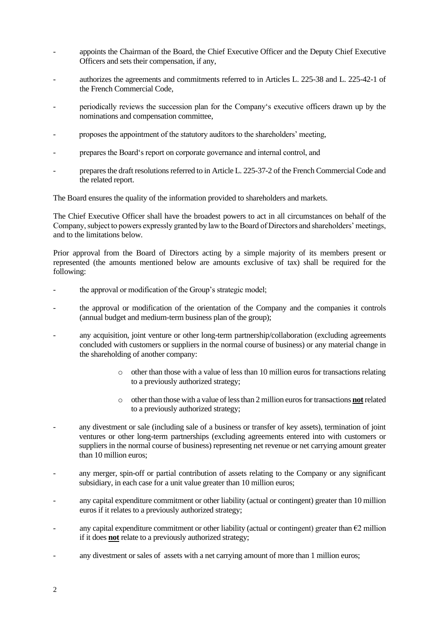- appoints the Chairman of the Board, the Chief Executive Officer and the Deputy Chief Executive Officers and sets their compensation, if any,
- authorizes the agreements and commitments referred to in Articles L. 225-38 and L. 225-42-1 of the French Commercial Code,
- periodically reviews the succession plan for the Company's executive officers drawn up by the nominations and compensation committee,
- proposes the appointment of the statutory auditors to the shareholders' meeting,
- prepares the Board's report on corporate governance and internal control, and
- prepares the draft resolutions referred to in Article L. 225-37-2 of the French Commercial Code and the related report.

The Board ensures the quality of the information provided to shareholders and markets.

The Chief Executive Officer shall have the broadest powers to act in all circumstances on behalf of the Company, subject to powers expressly granted by law to the Board of Directors and shareholders' meetings, and to the limitations below.

Prior approval from the Board of Directors acting by a simple majority of its members present or represented (the amounts mentioned below are amounts exclusive of tax) shall be required for the following:

- the approval or modification of the Group's strategic model;
- the approval or modification of the orientation of the Company and the companies it controls (annual budget and medium-term business plan of the group);
- any acquisition, joint venture or other long-term partnership/collaboration (excluding agreements concluded with customers or suppliers in the normal course of business) or any material change in the shareholding of another company:
	- $\circ$  other than those with a value of less than 10 million euros for transactions relating to a previously authorized strategy;
	- o other than those with a value of less than 2 million euros for transactions **not** related to a previously authorized strategy;
- any divestment or sale (including sale of a business or transfer of key assets), termination of joint ventures or other long-term partnerships (excluding agreements entered into with customers or suppliers in the normal course of business) representing net revenue or net carrying amount greater than 10 million euros;
- any merger, spin-off or partial contribution of assets relating to the Company or any significant subsidiary, in each case for a unit value greater than 10 million euros;
- any capital expenditure commitment or other liability (actual or contingent) greater than 10 million euros if it relates to a previously authorized strategy;
- any capital expenditure commitment or other liability (actual or contingent) greater than  $\epsilon_2$  million if it does **not** relate to a previously authorized strategy;
- any divestment or sales of assets with a net carrying amount of more than 1 million euros;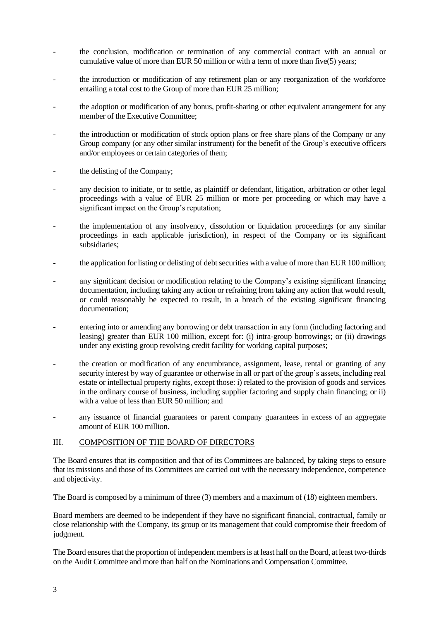- the conclusion, modification or termination of any commercial contract with an annual or cumulative value of more than EUR 50 million or with a term of more than five(5) years;
- the introduction or modification of any retirement plan or any reorganization of the workforce entailing a total cost to the Group of more than EUR 25 million;
- the adoption or modification of any bonus, profit-sharing or other equivalent arrangement for any member of the Executive Committee;
- the introduction or modification of stock option plans or free share plans of the Company or any Group company (or any other similar instrument) for the benefit of the Group's executive officers and/or employees or certain categories of them;
- the delisting of the Company;
- any decision to initiate, or to settle, as plaintiff or defendant, litigation, arbitration or other legal proceedings with a value of EUR 25 million or more per proceeding or which may have a significant impact on the Group's reputation;
- the implementation of any insolvency, dissolution or liquidation proceedings (or any similar proceedings in each applicable jurisdiction), in respect of the Company or its significant subsidiaries;
- the application for listing or delisting of debt securities with a value of more than EUR 100 million;
- any significant decision or modification relating to the Company's existing significant financing documentation, including taking any action or refraining from taking any action that would result, or could reasonably be expected to result, in a breach of the existing significant financing documentation;
- entering into or amending any borrowing or debt transaction in any form (including factoring and leasing) greater than EUR 100 million, except for: (i) intra-group borrowings; or (ii) drawings under any existing group revolving credit facility for working capital purposes;
- the creation or modification of any encumbrance, assignment, lease, rental or granting of any security interest by way of guarantee or otherwise in all or part of the group's assets, including real estate or intellectual property rights, except those: i) related to the provision of goods and services in the ordinary course of business, including supplier factoring and supply chain financing; or ii) with a value of less than EUR 50 million; and
- any issuance of financial guarantees or parent company guarantees in excess of an aggregate amount of EUR 100 million.

#### III. COMPOSITION OF THE BOARD OF DIRECTORS

The Board ensures that its composition and that of its Committees are balanced, by taking steps to ensure that its missions and those of its Committees are carried out with the necessary independence, competence and objectivity.

The Board is composed by a minimum of three (3) members and a maximum of (18) eighteen members.

Board members are deemed to be independent if they have no significant financial, contractual, family or close relationship with the Company, its group or its management that could compromise their freedom of judgment.

The Board ensures that the proportion of independent members is at least half on the Board, at least two-thirds on the Audit Committee and more than half on the Nominations and Compensation Committee.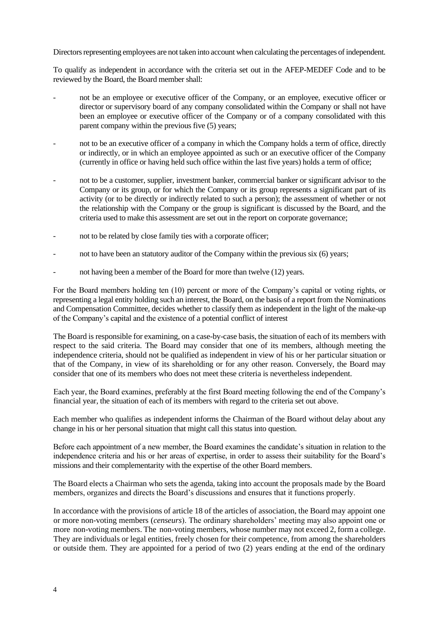Directors representing employees are not taken into account when calculating the percentages of independent.

To qualify as independent in accordance with the criteria set out in the AFEP-MEDEF Code and to be reviewed by the Board, the Board member shall:

- not be an employee or executive officer of the Company, or an employee, executive officer or director or supervisory board of any company consolidated within the Company or shall not have been an employee or executive officer of the Company or of a company consolidated with this parent company within the previous five (5) years;
- not to be an executive officer of a company in which the Company holds a term of office, directly or indirectly, or in which an employee appointed as such or an executive officer of the Company (currently in office or having held such office within the last five years) holds a term of office;
- not to be a customer, supplier, investment banker, commercial banker or significant advisor to the Company or its group, or for which the Company or its group represents a significant part of its activity (or to be directly or indirectly related to such a person); the assessment of whether or not the relationship with the Company or the group is significant is discussed by the Board, and the criteria used to make this assessment are set out in the report on corporate governance;
- not to be related by close family ties with a corporate officer;
- not to have been an statutory auditor of the Company within the previous six (6) years;
- not having been a member of the Board for more than twelve (12) years.

For the Board members holding ten (10) percent or more of the Company's capital or voting rights, or representing a legal entity holding such an interest, the Board, on the basis of a report from the Nominations and Compensation Committee, decides whether to classify them as independent in the light of the make-up of the Company's capital and the existence of a potential conflict of interest

The Board is responsible for examining, on a case-by-case basis, the situation of each of its members with respect to the said criteria. The Board may consider that one of its members, although meeting the independence criteria, should not be qualified as independent in view of his or her particular situation or that of the Company, in view of its shareholding or for any other reason. Conversely, the Board may consider that one of its members who does not meet these criteria is nevertheless independent.

Each year, the Board examines, preferably at the first Board meeting following the end of the Company's financial year, the situation of each of its members with regard to the criteria set out above.

Each member who qualifies as independent informs the Chairman of the Board without delay about any change in his or her personal situation that might call this status into question.

Before each appointment of a new member, the Board examines the candidate's situation in relation to the independence criteria and his or her areas of expertise, in order to assess their suitability for the Board's missions and their complementarity with the expertise of the other Board members.

The Board elects a Chairman who sets the agenda, taking into account the proposals made by the Board members, organizes and directs the Board's discussions and ensures that it functions properly.

In accordance with the provisions of article 18 of the articles of association, the Board may appoint one or more non-voting members (*censeurs*). The ordinary shareholders' meeting may also appoint one or more non-voting members. The non-voting members, whose number may not exceed 2, form a college. They are individuals or legal entities, freely chosen for their competence, from among the shareholders or outside them. They are appointed for a period of two (2) years ending at the end of the ordinary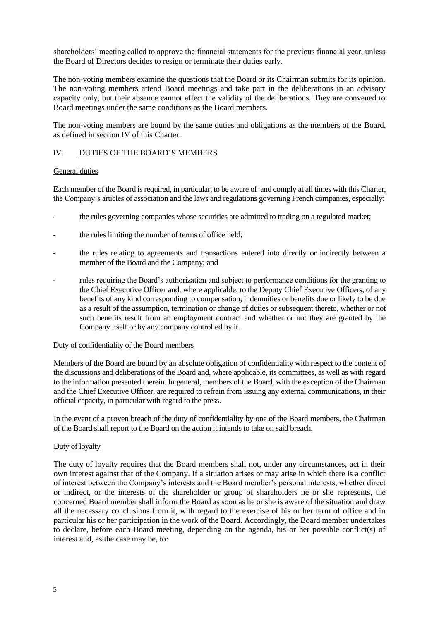shareholders' meeting called to approve the financial statements for the previous financial year, unless the Board of Directors decides to resign or terminate their duties early.

The non-voting members examine the questions that the Board or its Chairman submits for its opinion. The non-voting members attend Board meetings and take part in the deliberations in an advisory capacity only, but their absence cannot affect the validity of the deliberations. They are convened to Board meetings under the same conditions as the Board members.

The non-voting members are bound by the same duties and obligations as the members of the Board, as defined in section IV of this Charter.

### IV. DUTIES OF THE BOARD'S MEMBERS

#### General duties

Each member of the Board is required, in particular, to be aware of and comply at all times with this Charter, the Company's articles of association and the laws and regulations governing French companies, especially:

- the rules governing companies whose securities are admitted to trading on a regulated market;
- the rules limiting the number of terms of office held;
- the rules relating to agreements and transactions entered into directly or indirectly between a member of the Board and the Company; and
- rules requiring the Board's authorization and subject to performance conditions for the granting to the Chief Executive Officer and, where applicable, to the Deputy Chief Executive Officers, of any benefits of any kind corresponding to compensation, indemnities or benefits due or likely to be due as a result of the assumption, termination or change of duties or subsequent thereto, whether or not such benefits result from an employment contract and whether or not they are granted by the Company itself or by any company controlled by it.

# Duty of confidentiality of the Board members

Members of the Board are bound by an absolute obligation of confidentiality with respect to the content of the discussions and deliberations of the Board and, where applicable, its committees, as well as with regard to the information presented therein. In general, members of the Board, with the exception of the Chairman and the Chief Executive Officer, are required to refrain from issuing any external communications, in their official capacity, in particular with regard to the press.

In the event of a proven breach of the duty of confidentiality by one of the Board members, the Chairman of the Board shall report to the Board on the action it intends to take on said breach.

# Duty of loyalty

The duty of loyalty requires that the Board members shall not, under any circumstances, act in their own interest against that of the Company. If a situation arises or may arise in which there is a conflict of interest between the Company's interests and the Board member's personal interests, whether direct or indirect, or the interests of the shareholder or group of shareholders he or she represents, the concerned Board member shall inform the Board as soon as he or she is aware of the situation and draw all the necessary conclusions from it, with regard to the exercise of his or her term of office and in particular his or her participation in the work of the Board. Accordingly, the Board member undertakes to declare, before each Board meeting, depending on the agenda, his or her possible conflict(s) of interest and, as the case may be, to: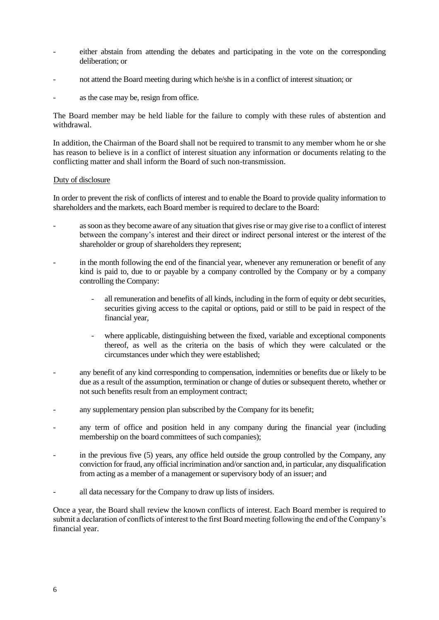- either abstain from attending the debates and participating in the vote on the corresponding deliberation; or
- not attend the Board meeting during which he/she is in a conflict of interest situation; or
- as the case may be, resign from office.

The Board member may be held liable for the failure to comply with these rules of abstention and withdrawal.

In addition, the Chairman of the Board shall not be required to transmit to any member whom he or she has reason to believe is in a conflict of interest situation any information or documents relating to the conflicting matter and shall inform the Board of such non-transmission.

#### Duty of disclosure

In order to prevent the risk of conflicts of interest and to enable the Board to provide quality information to shareholders and the markets, each Board member is required to declare to the Board:

- as soon as they become aware of any situation that gives rise or may give rise to a conflict of interest between the company's interest and their direct or indirect personal interest or the interest of the shareholder or group of shareholders they represent;
- in the month following the end of the financial year, whenever any remuneration or benefit of any kind is paid to, due to or payable by a company controlled by the Company or by a company controlling the Company:
	- all remuneration and benefits of all kinds, including in the form of equity or debt securities, securities giving access to the capital or options, paid or still to be paid in respect of the financial year,
	- where applicable, distinguishing between the fixed, variable and exceptional components thereof, as well as the criteria on the basis of which they were calculated or the circumstances under which they were established;
- any benefit of any kind corresponding to compensation, indemnities or benefits due or likely to be due as a result of the assumption, termination or change of duties or subsequent thereto, whether or not such benefits result from an employment contract;
- any supplementary pension plan subscribed by the Company for its benefit;
- any term of office and position held in any company during the financial year (including membership on the board committees of such companies);
- in the previous five (5) years, any office held outside the group controlled by the Company, any conviction for fraud, any official incrimination and/or sanction and, in particular, any disqualification from acting as a member of a management or supervisory body of an issuer; and
- all data necessary for the Company to draw up lists of insiders.

Once a year, the Board shall review the known conflicts of interest. Each Board member is required to submit a declaration of conflicts of interest to the first Board meeting following the end of the Company's financial year.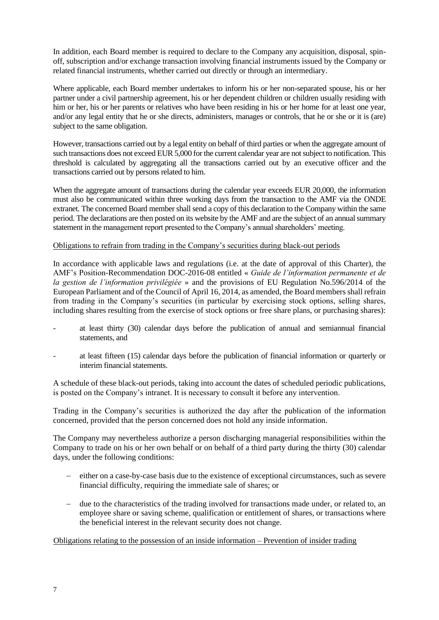In addition, each Board member is required to declare to the Company any acquisition, disposal, spinoff, subscription and/or exchange transaction involving financial instruments issued by the Company or related financial instruments, whether carried out directly or through an intermediary.

Where applicable, each Board member undertakes to inform his or her non-separated spouse, his or her partner under a civil partnership agreement, his or her dependent children or children usually residing with him or her, his or her parents or relatives who have been residing in his or her home for at least one year, and/or any legal entity that he or she directs, administers, manages or controls, that he or she or it is (are) subject to the same obligation.

However, transactions carried out by a legal entity on behalf of third parties or when the aggregate amount of such transactions does not exceed EUR 5,000 for the current calendar year are not subject to notification. This threshold is calculated by aggregating all the transactions carried out by an executive officer and the transactions carried out by persons related to him.

When the aggregate amount of transactions during the calendar year exceeds EUR 20,000, the information must also be communicated within three working days from the transaction to the AMF via the ONDE extranet. The concerned Board member shall send a copy of this declaration to the Company within the same period. The declarations are then posted on its website by the AMF and are the subject of an annual summary statement in the management report presented to the Company's annual shareholders' meeting.

# Obligations to refrain from trading in the Company's securities during black-out periods

In accordance with applicable laws and regulations (i.e. at the date of approval of this Charter), the AMF's Position-Recommendation DOC-2016-08 entitled « *Guide de l'information permanente et de la gestion de l'information privilégiée* » and the provisions of EU Regulation No.596/2014 of the European Parliament and of the Council of April 16, 2014, as amended, the Board members shall refrain from trading in the Company's securities (in particular by exercising stock options, selling shares, including shares resulting from the exercise of stock options or free share plans, or purchasing shares):

- at least thirty (30) calendar days before the publication of annual and semiannual financial statements, and
- at least fifteen (15) calendar days before the publication of financial information or quarterly or interim financial statements.

A schedule of these black-out periods, taking into account the dates of scheduled periodic publications, is posted on the Company's intranet. It is necessary to consult it before any intervention.

Trading in the Company's securities is authorized the day after the publication of the information concerned, provided that the person concerned does not hold any inside information.

The Company may nevertheless authorize a person discharging managerial responsibilities within the Company to trade on his or her own behalf or on behalf of a third party during the thirty (30) calendar days, under the following conditions:

- − either on a case-by-case basis due to the existence of exceptional circumstances, such as severe financial difficulty, requiring the immediate sale of shares; or
- due to the characteristics of the trading involved for transactions made under, or related to, an employee share or saving scheme, qualification or entitlement of shares, or transactions where the beneficial interest in the relevant security does not change.

Obligations relating to the possession of an inside information – Prevention of insider trading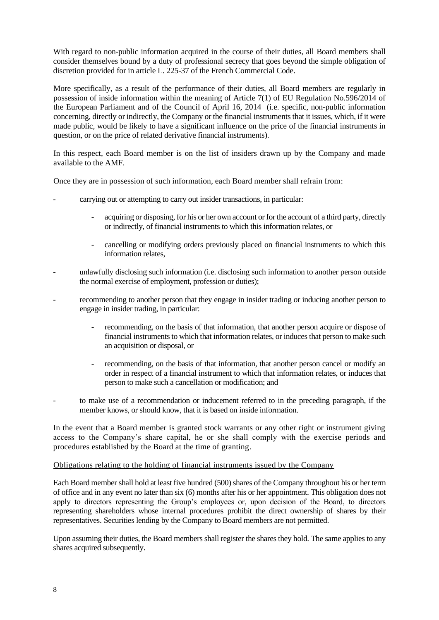With regard to non-public information acquired in the course of their duties, all Board members shall consider themselves bound by a duty of professional secrecy that goes beyond the simple obligation of discretion provided for in article L. 225-37 of the French Commercial Code.

More specifically, as a result of the performance of their duties, all Board members are regularly in possession of inside information within the meaning of Article 7(1) of EU Regulation No.596/2014 of the European Parliament and of the Council of April 16, 2014 (i.e. specific, non-public information concerning, directly or indirectly, the Company or the financial instruments that it issues, which, if it were made public, would be likely to have a significant influence on the price of the financial instruments in question, or on the price of related derivative financial instruments).

In this respect, each Board member is on the list of insiders drawn up by the Company and made available to the AMF.

Once they are in possession of such information, each Board member shall refrain from:

- carrying out or attempting to carry out insider transactions, in particular:
	- acquiring or disposing, for his or her own account or for the account of a third party, directly or indirectly, of financial instruments to which this information relates, or
	- cancelling or modifying orders previously placed on financial instruments to which this information relates,
- unlawfully disclosing such information (i.e. disclosing such information to another person outside the normal exercise of employment, profession or duties);
- recommending to another person that they engage in insider trading or inducing another person to engage in insider trading, in particular:
	- recommending, on the basis of that information, that another person acquire or dispose of financial instruments to which that information relates, or induces that person to make such an acquisition or disposal, or
	- recommending, on the basis of that information, that another person cancel or modify an order in respect of a financial instrument to which that information relates, or induces that person to make such a cancellation or modification; and
- to make use of a recommendation or inducement referred to in the preceding paragraph, if the member knows, or should know, that it is based on inside information.

In the event that a Board member is granted stock warrants or any other right or instrument giving access to the Company's share capital, he or she shall comply with the exercise periods and procedures established by the Board at the time of granting.

# Obligations relating to the holding of financial instruments issued by the Company

Each Board member shall hold at least five hundred (500) shares of the Company throughout his or her term of office and in any event no later than six (6) months after his or her appointment. This obligation does not apply to directors representing the Group's employees or, upon decision of the Board, to directors representing shareholders whose internal procedures prohibit the direct ownership of shares by their representatives. Securities lending by the Company to Board members are not permitted.

Upon assuming their duties, the Board members shall register the shares they hold. The same applies to any shares acquired subsequently.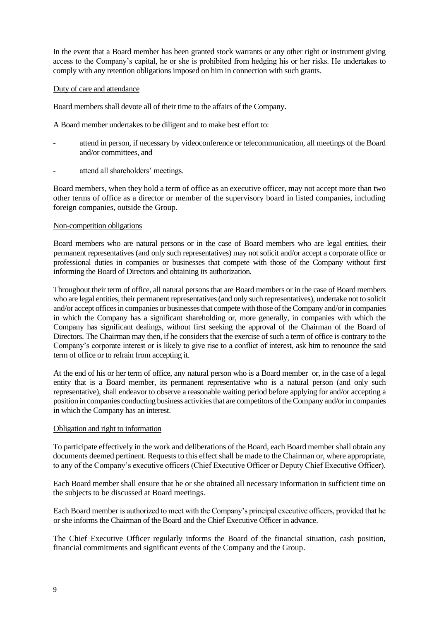In the event that a Board member has been granted stock warrants or any other right or instrument giving access to the Company's capital, he or she is prohibited from hedging his or her risks. He undertakes to comply with any retention obligations imposed on him in connection with such grants.

#### Duty of care and attendance

Board members shall devote all of their time to the affairs of the Company.

A Board member undertakes to be diligent and to make best effort to:

- attend in person, if necessary by videoconference or telecommunication, all meetings of the Board and/or committees, and
- attend all shareholders' meetings.

Board members, when they hold a term of office as an executive officer, may not accept more than two other terms of office as a director or member of the supervisory board in listed companies, including foreign companies, outside the Group.

#### Non-competition obligations

Board members who are natural persons or in the case of Board members who are legal entities, their permanent representatives (and only such representatives) may not solicit and/or accept a corporate office or professional duties in companies or businesses that compete with those of the Company without first informing the Board of Directors and obtaining its authorization.

Throughout their term of office, all natural persons that are Board members or in the case of Board members who are legal entities, their permanent representatives (and only such representatives), undertake not to solicit and/or accept offices in companies or businesses that compete with those of the Company and/or in companies in which the Company has a significant shareholding or, more generally, in companies with which the Company has significant dealings, without first seeking the approval of the Chairman of the Board of Directors. The Chairman may then, if he considers that the exercise of such a term of office is contrary to the Company's corporate interest or is likely to give rise to a conflict of interest, ask him to renounce the said term of office or to refrain from accepting it.

At the end of his or her term of office, any natural person who is a Board member or, in the case of a legal entity that is a Board member, its permanent representative who is a natural person (and only such representative), shall endeavor to observe a reasonable waiting period before applying for and/or accepting a position in companies conducting business activities that are competitors of the Company and/or in companies in which the Company has an interest.

#### Obligation and right to information

To participate effectively in the work and deliberations of the Board, each Board member shall obtain any documents deemed pertinent. Requests to this effect shall be made to the Chairman or, where appropriate, to any of the Company's executive officers (Chief Executive Officer or Deputy Chief Executive Officer).

Each Board member shall ensure that he or she obtained all necessary information in sufficient time on the subjects to be discussed at Board meetings.

Each Board member is authorized to meet with the Company's principal executive officers, provided that he or she informs the Chairman of the Board and the Chief Executive Officer in advance.

The Chief Executive Officer regularly informs the Board of the financial situation, cash position, financial commitments and significant events of the Company and the Group.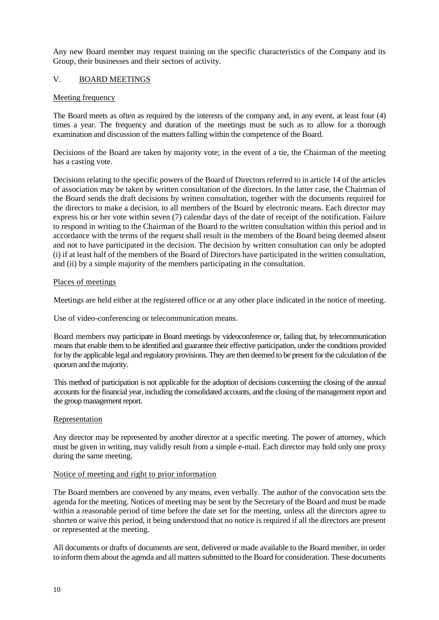Any new Board member may request training on the specific characteristics of the Company and its Group, their businesses and their sectors of activity.

# V. BOARD MEETINGS

# Meeting frequency

The Board meets as often as required by the interests of the company and, in any event, at least four (4) times a year. The frequency and duration of the meetings must be such as to allow for a thorough examination and discussion of the matters falling within the competence of the Board.

Decisions of the Board are taken by majority vote; in the event of a tie, the Chairman of the meeting has a casting vote.

Decisions relating to the specific powers of the Board of Directors referred to in article 14 of the articles of association may be taken by written consultation of the directors. In the latter case, the Chairman of the Board sends the draft decisions by written consultation, together with the documents required for the directors to make a decision, to all members of the Board by electronic means. Each director may express his or her vote within seven (7) calendar days of the date of receipt of the notification. Failure to respond in writing to the Chairman of the Board to the written consultation within this period and in accordance with the terms of the request shall result in the members of the Board being deemed absent and not to have participated in the decision. The decision by written consultation can only be adopted (i) if at least half of the members of the Board of Directors have participated in the written consultation, and (ii) by a simple majority of the members participating in the consultation.

# Places of meetings

Meetings are held either at the registered office or at any other place indicated in the notice of meeting.

Use of video-conferencing or telecommunication means.

Board members may participate in Board meetings by videoconference or, failing that, by telecommunication means that enable them to be identified and guarantee their effective participation, under the conditions provided for by the applicable legal and regulatory provisions. They are then deemed to be present for the calculation of the quorum and the majority.

This method of participation is not applicable for the adoption of decisions concerning the closing of the annual accounts for the financial year, including the consolidated accounts, and the closing of the management report and the group management report.

# Representation

Any director may be represented by another director at a specific meeting. The power of attorney, which must be given in writing, may validly result from a simple e-mail. Each director may hold only one proxy during the same meeting.

# Notice of meeting and right to prior information

The Board members are convened by any means, even verbally. The author of the convocation sets the agenda for the meeting. Notices of meeting may be sent by the Secretary of the Board and must be made within a reasonable period of time before the date set for the meeting, unless all the directors agree to shorten or waive this period, it being understood that no notice is required if all the directors are present or represented at the meeting.

All documents or drafts of documents are sent, delivered or made available to the Board member, in order to inform them about the agenda and all matters submitted to the Board for consideration. These documents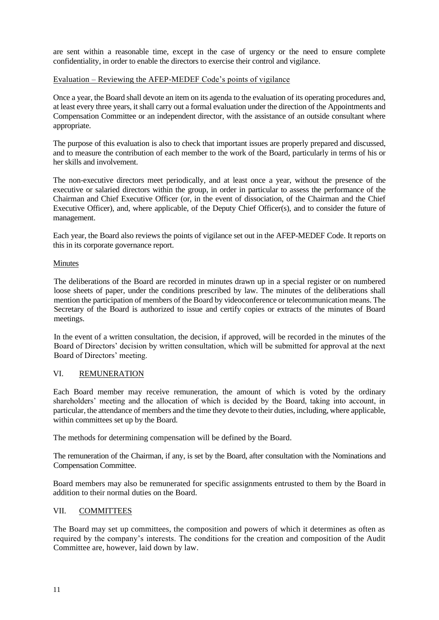are sent within a reasonable time, except in the case of urgency or the need to ensure complete confidentiality, in order to enable the directors to exercise their control and vigilance.

# Evaluation – Reviewing the AFEP-MEDEF Code's points of vigilance

Once a year, the Board shall devote an item on its agenda to the evaluation of its operating procedures and, at least every three years, it shall carry out a formal evaluation under the direction of the Appointments and Compensation Committee or an independent director, with the assistance of an outside consultant where appropriate.

The purpose of this evaluation is also to check that important issues are properly prepared and discussed, and to measure the contribution of each member to the work of the Board, particularly in terms of his or her skills and involvement.

The non-executive directors meet periodically, and at least once a year, without the presence of the executive or salaried directors within the group, in order in particular to assess the performance of the Chairman and Chief Executive Officer (or, in the event of dissociation, of the Chairman and the Chief Executive Officer), and, where applicable, of the Deputy Chief Officer(s), and to consider the future of management.

Each year, the Board also reviews the points of vigilance set out in the AFEP-MEDEF Code. It reports on this in its corporate governance report.

# **Minutes**

The deliberations of the Board are recorded in minutes drawn up in a special register or on numbered loose sheets of paper, under the conditions prescribed by law. The minutes of the deliberations shall mention the participation of members of the Board by videoconference or telecommunication means. The Secretary of the Board is authorized to issue and certify copies or extracts of the minutes of Board meetings.

In the event of a written consultation, the decision, if approved, will be recorded in the minutes of the Board of Directors' decision by written consultation, which will be submitted for approval at the next Board of Directors' meeting.

# VI. REMUNERATION

Each Board member may receive remuneration, the amount of which is voted by the ordinary shareholders' meeting and the allocation of which is decided by the Board, taking into account, in particular, the attendance of members and the time they devote to their duties, including, where applicable, within committees set up by the Board.

The methods for determining compensation will be defined by the Board.

The remuneration of the Chairman, if any, is set by the Board, after consultation with the Nominations and Compensation Committee.

Board members may also be remunerated for specific assignments entrusted to them by the Board in addition to their normal duties on the Board.

# VII. COMMITTEES

The Board may set up committees, the composition and powers of which it determines as often as required by the company's interests. The conditions for the creation and composition of the Audit Committee are, however, laid down by law.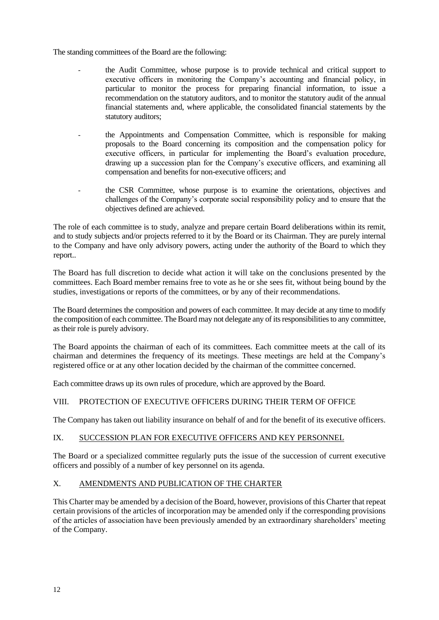The standing committees of the Board are the following:

- the Audit Committee, whose purpose is to provide technical and critical support to executive officers in monitoring the Company's accounting and financial policy, in particular to monitor the process for preparing financial information, to issue a recommendation on the statutory auditors, and to monitor the statutory audit of the annual financial statements and, where applicable, the consolidated financial statements by the statutory auditors;
- the Appointments and Compensation Committee, which is responsible for making proposals to the Board concerning its composition and the compensation policy for executive officers, in particular for implementing the Board's evaluation procedure, drawing up a succession plan for the Company's executive officers, and examining all compensation and benefits for non-executive officers; and
- the CSR Committee, whose purpose is to examine the orientations, objectives and challenges of the Company's corporate social responsibility policy and to ensure that the objectives defined are achieved.

The role of each committee is to study, analyze and prepare certain Board deliberations within its remit, and to study subjects and/or projects referred to it by the Board or its Chairman. They are purely internal to the Company and have only advisory powers, acting under the authority of the Board to which they report..

The Board has full discretion to decide what action it will take on the conclusions presented by the committees. Each Board member remains free to vote as he or she sees fit, without being bound by the studies, investigations or reports of the committees, or by any of their recommendations.

The Board determines the composition and powers of each committee. It may decide at any time to modify the composition of each committee. The Board may not delegate any of its responsibilities to any committee, as their role is purely advisory.

The Board appoints the chairman of each of its committees. Each committee meets at the call of its chairman and determines the frequency of its meetings. These meetings are held at the Company's registered office or at any other location decided by the chairman of the committee concerned.

Each committee draws up its own rules of procedure, which are approved by the Board.

# VIII. PROTECTION OF EXECUTIVE OFFICERS DURING THEIR TERM OF OFFICE

The Company has taken out liability insurance on behalf of and for the benefit of its executive officers.

# IX. SUCCESSION PLAN FOR EXECUTIVE OFFICERS AND KEY PERSONNEL

The Board or a specialized committee regularly puts the issue of the succession of current executive officers and possibly of a number of key personnel on its agenda.

# X. AMENDMENTS AND PUBLICATION OF THE CHARTER

This Charter may be amended by a decision of the Board, however, provisions of this Charter that repeat certain provisions of the articles of incorporation may be amended only if the corresponding provisions of the articles of association have been previously amended by an extraordinary shareholders' meeting of the Company.